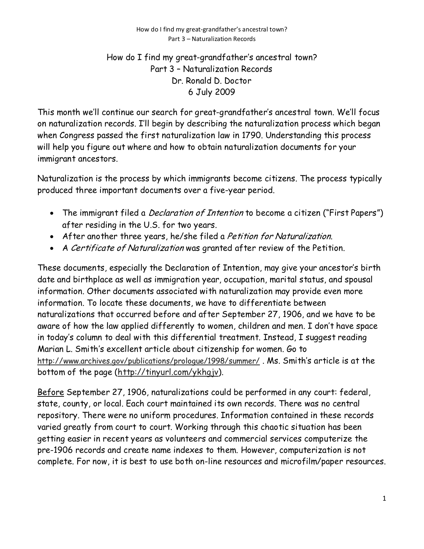## How do I find my great-grandfather's ancestral town? Part 3 – Naturalization Records Dr. Ronald D. Doctor 6 July 2009

This month we'll continue our search for great-grandfather's ancestral town. We'll focus on naturalization records. I'll begin by describing the naturalization process which began when Congress passed the first naturalization law in 1790. Understanding this process will help you figure out where and how to obtain naturalization documents for your immigrant ancestors.

Naturalization is the process by which immigrants become citizens. The process typically produced three important documents over a five-year period.

- The immigrant filed a *Declaration of Intention* to become a citizen ("First Papers") after residing in the U.S. for two years.
- After another three years, he/she filed a Petition for Naturalization.
- A Certificate of Naturalization was granted after review of the Petition.

These documents, especially the Declaration of Intention, may give your ancestor's birth date and birthplace as well as immigration year, occupation, marital status, and spousal information. Other documents associated with naturalization may provide even more information. To locate these documents, we have to differentiate between naturalizations that occurred before and after September 27, 1906, and we have to be aware of how the law applied differently to women, children and men. I don't have space in today's column to deal with this differential treatment. Instead, I suggest reading Marian L. Smith's excellent article about citizenship for women. Go to http://www.archives.gov/publications/prologue/1998/summer/. Ms. Smith's article is at the bottom of the page (http://tinyurl.com/ykhgjv).

Before September 27, 1906, naturalizations could be performed in any court: federal, state, county, or local. Each court maintained its own records. There was no central repository. There were no uniform procedures. Information contained in these records varied greatly from court to court. Working through this chaotic situation has been getting easier in recent years as volunteers and commercial services computerize the pre-1906 records and create name indexes to them. However, computerization is not complete. For now, it is best to use both on-line resources and microfilm/paper resources.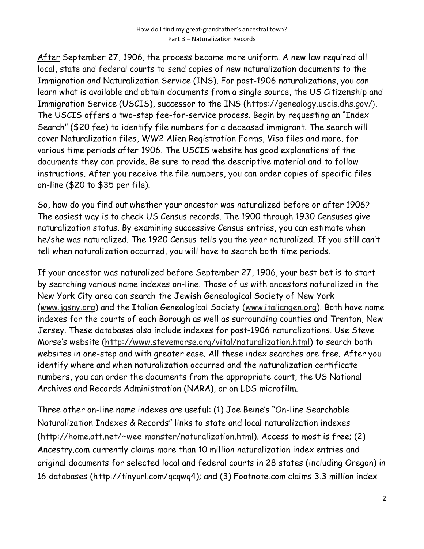After September 27, 1906, the process became more uniform. A new law required all local, state and federal courts to send copies of new naturalization documents to the Immigration and Naturalization Service (INS). For post-1906 naturalizations, you can learn what is available and obtain documents from a single source, the US Citizenship and Immigration Service (USCIS), successor to the INS (https://genealogy.uscis.dhs.gov/). The USCIS offers a two-step fee-for-service process. Begin by requesting an "Index Search" (\$20 fee) to identify file numbers for a deceased immigrant. The search will cover Naturalization files, WW2 Alien Registration Forms, Visa files and more, for various time periods after 1906. The USCIS website has good explanations of the documents they can provide. Be sure to read the descriptive material and to follow instructions. After you receive the file numbers, you can order copies of specific files on-line (\$20 to \$35 per file).

So, how do you find out whether your ancestor was naturalized before or after 1906? The easiest way is to check US Census records. The 1900 through 1930 Censuses give naturalization status. By examining successive Census entries, you can estimate when he/she was naturalized. The 1920 Census tells you the year naturalized. If you still can't tell when naturalization occurred, you will have to search both time periods.

If your ancestor was naturalized before September 27, 1906, your best bet is to start by searching various name indexes on-line. Those of us with ancestors naturalized in the New York City area can search the Jewish Genealogical Society of New York (www.jgsny.org) and the Italian Genealogical Society (www.italiangen.org). Both have name indexes for the courts of each Borough as well as surrounding counties and Trenton, New Jersey. These databases also include indexes for post-1906 naturalizations. Use Steve Morse's website (http://www.stevemorse.org/vital/naturalization.html) to search both websites in one-step and with greater ease. All these index searches are free. After you identify where and when naturalization occurred and the naturalization certificate numbers, you can order the documents from the appropriate court, the US National Archives and Records Administration (NARA), or on LDS microfilm.

Three other on-line name indexes are useful: (1) Joe Beine's "On-line Searchable Naturalization Indexes & Records" links to state and local naturalization indexes (http://home.att.net/~wee-monster/naturalization.html). Access to most is free; (2) Ancestry.com currently claims more than 10 million naturalization index entries and original documents for selected local and federal courts in 28 states (including Oregon) in 16 databases (http://tinyurl.com/qcqwq4); and (3) Footnote.com claims 3.3 million index